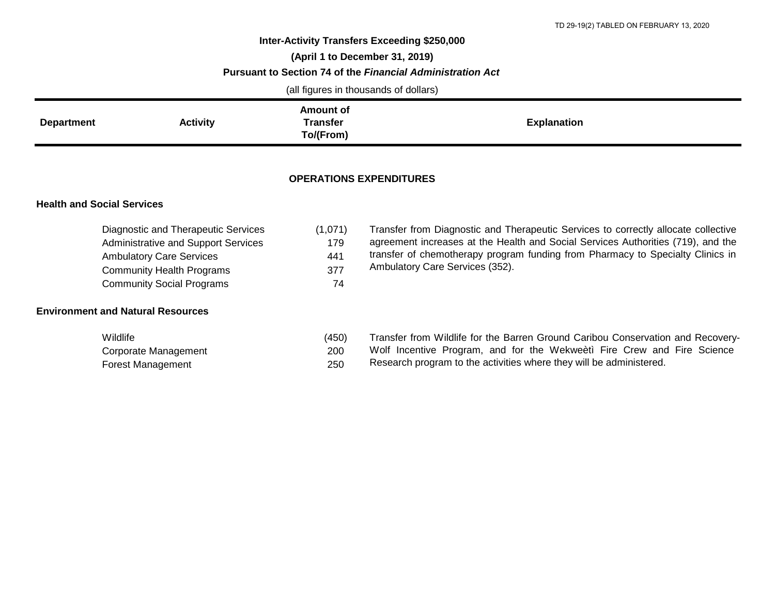## **Inter-Activity Transfers Exceeding \$250,000 (April 1 to December 31, 2019) Pursuant to Section 74 of the** *Financial Administration Act*

(all figures in thousands of dollars)

|                   |                 | Amount of                    |                    |
|-------------------|-----------------|------------------------------|--------------------|
| <b>Department</b> | <b>Activity</b> | <b>Transfer</b><br>To/(From) | <b>Explanation</b> |

## **OPERATIONS EXPENDITURES**

## **Health and Social Services**

| Diagnostic and Therapeutic Services        | (1,071) |
|--------------------------------------------|---------|
| <b>Administrative and Support Services</b> | 179     |
| <b>Ambulatory Care Services</b>            | 441     |
| <b>Community Health Programs</b>           | 377     |
| <b>Community Social Programs</b>           | 74      |

## **Environment and Natural Resources**

| Wildlife                 | (450) |
|--------------------------|-------|
| Corporate Management     | 200   |
| <b>Forest Management</b> | 250   |

Transfer from Diagnostic and Therapeutic Services to correctly allocate collective agreement increases at the Health and Social Services Authorities (719), and the transfer of chemotherapy program funding from Pharmacy to Specialty Clinics in Ambulatory Care Services (352).

|  |  |  | Transfer from Wildlife for the Barren Ground Caribou Conservation and Recovery- |  |  |  |
|--|--|--|---------------------------------------------------------------------------------|--|--|--|
|  |  |  | Wolf Incentive Program, and for the Wekweeti Fire Crew and Fire Science         |  |  |  |

Research program to the activities where they will be administered.